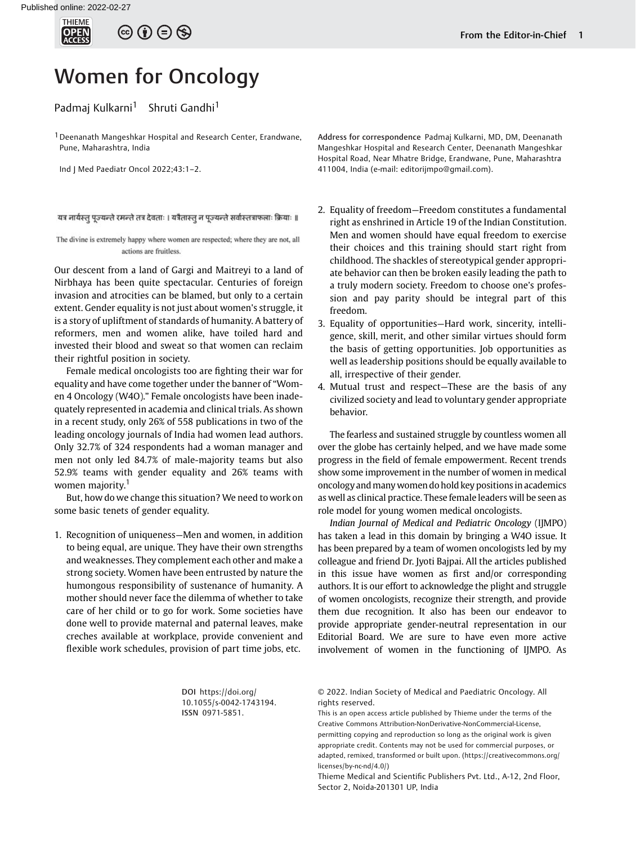

## $\circledcirc \circledcirc \circledcirc$

## Women for Oncology

## Padmaj Kulkarni<sup>1</sup> Shruti Gandhi<sup>1</sup>

<sup>1</sup> Deenanath Mangeshkar Hospital and Research Center, Erandwane, Pune, Maharashtra, India

Ind J Med Paediatr Oncol 2022;43:1–2.

यत्र नार्यस्तु पूज्यन्ते रमन्ते तत्र देवताः । यत्रैतास्तु न पूज्यन्ते सर्वास्तत्राफलाः क्रियाः ॥

The divine is extremely happy where women are respected; where they are not, all actions are fruitless.

Our descent from a land of Gargi and Maitreyi to a land of Nirbhaya has been quite spectacular. Centuries of foreign invasion and atrocities can be blamed, but only to a certain extent. Gender equality is not just about women's struggle, it is a story of upliftment of standards of humanity. A battery of reformers, men and women alike, have toiled hard and invested their blood and sweat so that women can reclaim their rightful position in society.

Female medical oncologists too are fighting their war for equality and have come together under the banner of "Women 4 Oncology (W4O)." Female oncologists have been inadequately represented in academia and clinical trials. As shown in a recent study, only 26% of 558 publications in two of the leading oncology journals of India had women lead authors. Only 32.7% of 324 respondents had a woman manager and men not only led 84.7% of male-majority teams but also 52.9% teams with gender equality and 26% teams with women majority.<sup>1</sup>

But, how do we change this situation? We need to work on some basic tenets of gender equality.

1. Recognition of uniqueness—Men and women, in addition to being equal, are unique. They have their own strengths and weaknesses. They complement each other and make a strong society. Women have been entrusted by nature the humongous responsibility of sustenance of humanity. A mother should never face the dilemma of whether to take care of her child or to go for work. Some societies have done well to provide maternal and paternal leaves, make creches available at workplace, provide convenient and flexible work schedules, provision of part time jobs, etc.

Address for correspondence Padmaj Kulkarni, MD, DM, Deenanath Mangeshkar Hospital and Research Center, Deenanath Mangeshkar Hospital Road, Near Mhatre Bridge, Erandwane, Pune, Maharashtra 411004, India (e-mail: [editorijmpo@gmail.com](mailto:editorijmpo@gmail.com)).

- 2. Equality of freedom—Freedom constitutes a fundamental right as enshrined in Article 19 of the Indian Constitution. Men and women should have equal freedom to exercise their choices and this training should start right from childhood. The shackles of stereotypical gender appropriate behavior can then be broken easily leading the path to a truly modern society. Freedom to choose one's profession and pay parity should be integral part of this freedom.
- 3. Equality of opportunities—Hard work, sincerity, intelligence, skill, merit, and other similar virtues should form the basis of getting opportunities. Job opportunities as well as leadership positions should be equally available to all, irrespective of their gender.
- 4. Mutual trust and respect—These are the basis of any civilized society and lead to voluntary gender appropriate behavior.

The fearless and sustained struggle by countless women all over the globe has certainly helped, and we have made some progress in the field of female empowerment. Recent trends show some improvement in the number of women in medical oncology and many women do hold key positions in academics as well as clinical practice. These female leaders will be seen as role model for young women medical oncologists.

Indian Journal of Medical and Pediatric Oncology (IJMPO) has taken a lead in this domain by bringing a W4O issue. It has been prepared by a team of women oncologists led by my colleague and friend Dr. Jyoti Bajpai. All the articles published in this issue have women as first and/or corresponding authors. It is our effort to acknowledge the plight and struggle of women oncologists, recognize their strength, and provide them due recognition. It also has been our endeavor to provide appropriate gender-neutral representation in our Editorial Board. We are sure to have even more active involvement of women in the functioning of IJMPO. As

DOI [https://doi.org/](https://doi.org/10.1055/s-0042-1743194) [10.1055/s-0042-1743194](https://doi.org/10.1055/s-0042-1743194). ISSN 0971-5851.

© 2022. Indian Society of Medical and Paediatric Oncology. All rights reserved.

This is an open access article published by Thieme under the terms of the Creative Commons Attribution-NonDerivative-NonCommercial-License, permitting copying and reproduction so long as the original work is given appropriate credit. Contents may not be used for commercial purposes, or adapted, remixed, transformed or built upon. (https://creativecommons.org/ licenses/by-nc-nd/4.0/)

Thieme Medical and Scientific Publishers Pvt. Ltd., A-12, 2nd Floor, Sector 2, Noida-201301 UP, India